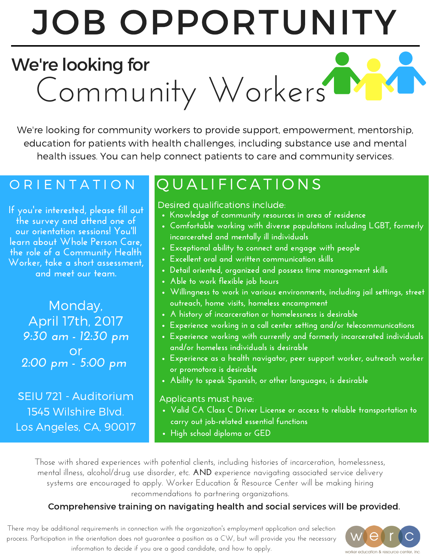# JOB OPPORTUNITY

# Community Workers We're looking for

We're looking for community workers to provide support, empowerment, mentorship, education for patients with health challenges, including substance use and mental health issues. You can help connect patients to care and community services.

**If you're interested, please fill out the survey and attend one of our orientation sessions! You'll learn about Whole Person Care, the role of a Community Health Worker, take a short assessment, and meet our team.**

Monday, April 17th, 2017 *9:30 am - 12:30 pm 2:00 pm - 5:00 pm* or

SEIU 721 - Auditorium 1545 Wilshire Blvd. Los Angeles, CA, 90017

# O R I E N T A T I O N | Q U A L I F I C A T I O N S

### Desired qualifications include:

- **Knowledge of community resources in area of residence**
- **Comfortable working with diverse populations including LGBT, formerly incarcerated and mentally ill individuals**
- **Exceptional ability to connect and engage with people**
- **Excellent oral and written communication skills**
- **Detail oriented, organized and possess time management skills**
- **Able to work flexible job hours**
- **Willingness to work in various environments, including jail settings, street outreach, home visits, homeless encampment**
- **A history of incarceration or homelessness is desirable**
- **Experience working in a call center setting and/or telecommunications**
- **Experience working with currently and formerly incarcerated individuals and/or homeless individuals is desirable**
- **Experience as a health navigator, peer support worker, outreach worker or promotora is desirable**
- **Ability to speak Spanish, or other languages, is desirable**

#### Applicants must have:

- **Valid CA Class C Driver License or access to reliable transportation to carry out job-related essential functions**
- **High school diploma or GED**

Those with shared experiences with potential clients, including histories of incarceration, homelessness, mental illness, alcohol/drug use disorder, etc. **AND** experience navigating associated service delivery systems are encouraged to apply. Worker Education & Resource Center will be making hiring recommendations to partnering organizations.

## Comprehensive training on navigating health and social services will be provided.

There may be additional requirements in connection with the organization's employment application and selection process. Participation in the orientation does not guarantee a position as a CW, but will provide you the necessary information to decide if you are a good candidate, and how to apply.